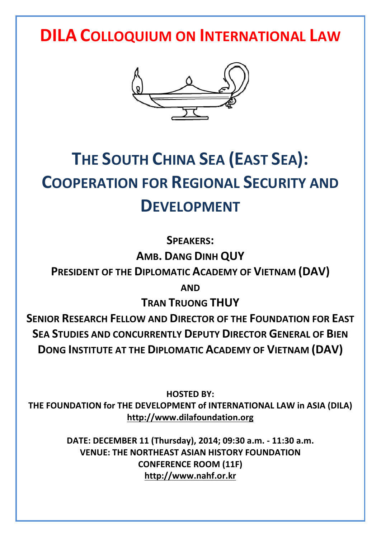**DILA COLLOQUIUM ON INTERNATIONAL LAW**



# **THE SOUTH CHINA SEA (EAST SEA): COOPERATION FOR REGIONAL SECURITY AND DEVELOPMENT**

**SPEAKERS:**

**AMB. DANG DINH QUY**

**PRESIDENT OF THE DIPLOMATIC ACADEMY OF VIETNAM (DAV)**

**AND**

**TRAN TRUONG THUY**

**SENIOR RESEARCH FELLOW AND DIRECTOR OF THE FOUNDATION FOR EAST SEA STUDIES AND CONCURRENTLY DEPUTY DIRECTOR GENERAL OF BIEN DONG INSTITUTE AT THE DIPLOMATIC ACADEMY OF VIETNAM (DAV)**

**HOSTED BY: THE FOUNDATION for THE DEVELOPMENT of INTERNATIONAL LAW in ASIA (DILA) http://www.dilafoundation.org**

> **DATE: DECEMBER 11 (Thursday), 2014; 09:30 a.m. - 11:30 a.m. VENUE: THE NORTHEAST ASIAN HISTORY FOUNDATION CONFERENCE ROOM (11F) http://www.nahf.or.kr**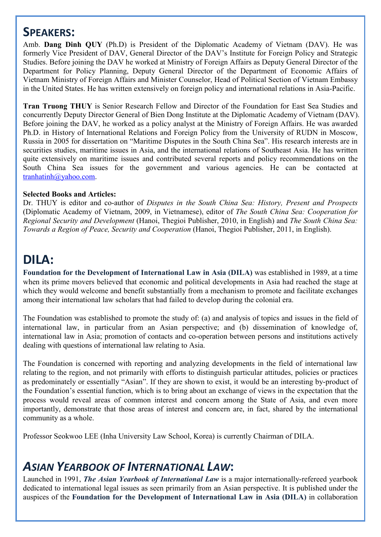### **SPEAKERS:**

Amb. **Dang Dinh QUY** (Ph.D) is President of the Diplomatic Academy of Vietnam (DAV). He was formerly Vice President of DAV, General Director of the DAV's Institute for Foreign Policy and Strategic Studies. Before joining the DAV he worked at Ministry of Foreign Affairs as Deputy General Director of the Department for Policy Planning, Deputy General Director of the Department of Economic Affairs of Vietnam Ministry of Foreign Affairs and Minister Counselor, Head of Political Section of Vietnam Embassy in the United States. He has written extensively on foreign policy and international relations in Asia-Pacific.

**Tran Truong THUY** is Senior Research Fellow and Director of the Foundation for East Sea Studies and concurrently Deputy Director General of Bien Dong Institute at the Diplomatic Academy of Vietnam (DAV). Before joining the DAV, he worked as a policy analyst at the Ministry of Foreign Affairs. He was awarded Ph.D. in History of International Relations and Foreign Policy from the University of RUDN in Moscow, Russia in 2005 for dissertation on "Maritime Disputes in the South China Sea". His research interests are in securities studies, maritime issues in Asia, and the international relations of Southeast Asia. He has written quite extensively on maritime issues and contributed several reports and policy recommendations on the South China Sea issues for the government and various agencies. He can be contacted at tranhatinh@yahoo.com.

#### **Selected Books and Articles:**

Dr. THUY is editor and co-author of *Disputes in the South China Sea: History, Present and Prospects* (Diplomatic Academy of Vietnam, 2009, in Vietnamese), editor of *The South China Sea: Cooperation for Regional Security and Development* (Hanoi, Thegioi Publisher, 2010, in English) and *The South China Sea: Towards a Region of Peace, Security and Cooperation* (Hanoi, Thegioi Publisher, 2011, in English).

## **DILA:**

**Foundation for the Development of International Law in Asia (DILA)** was established in 1989, at a time when its prime movers believed that economic and political developments in Asia had reached the stage at which they would welcome and benefit substantially from a mechanism to promote and facilitate exchanges among their international law scholars that had failed to develop during the colonial era.

The Foundation was established to promote the study of: (a) and analysis of topics and issues in the field of international law, in particular from an Asian perspective; and (b) dissemination of knowledge of, international law in Asia; promotion of contacts and co-operation between persons and institutions actively dealing with questions of international law relating to Asia.

The Foundation is concerned with reporting and analyzing developments in the field of international law relating to the region, and not primarily with efforts to distinguish particular attitudes, policies or practices as predominately or essentially "Asian". If they are shown to exist, it would be an interesting by-product of the Foundation's essential function, which is to bring about an exchange of views in the expectation that the process would reveal areas of common interest and concern among the State of Asia, and even more importantly, demonstrate that those areas of interest and concern are, in fact, shared by the international community as a whole.

Professor Seokwoo LEE (Inha University Law School, Korea) is currently Chairman of DILA.

## *ASIAN YEARBOOK OF INTERNATIONAL LAW***:**

Launched in 1991, *The Asian Yearbook of International Law* is a major internationally-refereed yearbook dedicated to international legal issues as seen primarily from an Asian perspective. It is published under the auspices of the **Foundation for the Development of International Law in Asia (DILA)** in collaboration